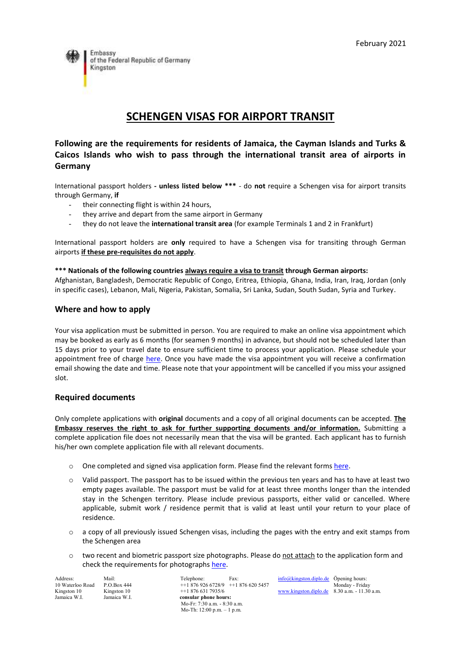

# **SCHENGEN VISAS FOR AIRPORT TRANSIT**

**Following are the requirements for residents of Jamaica, the Cayman Islands and Turks & Caicos Islands who wish to pass through the international transit area of airports in Germany**

International passport holders **- unless listed below \*\*\*** - do **not** require a Schengen visa for airport transits through Germany, **if**

- their connecting flight is within 24 hours,
- they arrive and depart from the same airport in Germany
- they do not leave the **international transit area** (for example Terminals 1 and 2 in Frankfurt)

International passport holders are **only** required to have a Schengen visa for transiting through German airports **if these pre-requisites do not apply**.

#### **\*\*\* Nationals of the following countries always require a visa to transit through German airports:**

Afghanistan, Bangladesh, Democratic Republic of Congo, Eritrea, Ethiopia, Ghana, India, Iran, Iraq, Jordan (only in specific cases), Lebanon, Mali, Nigeria, Pakistan, Somalia, Sri Lanka, Sudan, South Sudan, Syria and Turkey.

#### **Where and how to apply**

Your visa application must be submitted in person. You are required to make an online visa appointment which may be booked as early as 6 months (for seamen 9 months) in advance, but should not be scheduled later than 15 days prior to your travel date to ensure sufficient time to process your application. Please schedule your appointment free of charge [here.](https://service.diplo.de/rktermin/extern/choose_realmList.do?locationCode=king&request_locale=en) Once you have made the visa appointment you will receive a confirmation email showing the date and time. Please note that your appointment will be cancelled if you miss your assigned slot.

## **Required documents**

Only complete applications with **original** documents and a copy of all original documents can be accepted. **The Embassy reserves the right to ask for further supporting documents and/or information.** Submitting a complete application file does not necessarily mean that the visa will be granted. Each applicant has to furnish his/her own complete application file with all relevant documents.

- o One completed and signed visa application form. Please find the relevant form[s here.](https://videx.diplo.de/)
- $\circ$  Valid passport. The passport has to be issued within the previous ten years and has to have at least two empty pages available. The passport must be valid for at least three months longer than the intended stay in the Schengen territory. Please include previous passports, either valid or cancelled. Where applicable, submit work / residence permit that is valid at least until your return to your place of residence.
- o a copy of all previously issued Schengen visas, including the pages with the entry and exit stamps from the Schengen area
- $\circ$  two recent and biometric passport size photographs. Please do not attach to the application form and check the requirements for photographs [here.](https://www.bundesdruckerei.de/system/files/dokumente/pdf/Fotomustertafel-300dpi.pdf)

Jamaica W.I. Jamaica W.I. **consular phone hours:**

 Mo-Fr: 7:30 a.m. - 8:30 a.m. Mo-Th: 12:00 p.m. – 1 p.m.

Address: Mail: Telephone: Fax:  $\frac{\text{info@kingston.diplo.de}}{\text{PQBonday Frida}}$  $\frac{\text{info@kingston.diplo.de}}{\text{PQBonday Frida}}$  $\frac{\text{info@kingston.diplo.de}}{\text{PQBonday Frida}}$  Opening hours:  $\frac{\text{Info@kingston.diplo.de}}{\text{PQBonday Frida}}$  $+18769266728/9$   $+18766205457$  Monday - Friday<br> $+18766317935/6$  www.kingston diplode 830a m - 1130 Kingston 10 Kingston 10 ++1 876 631 7935/6 [www.kingston.diplo.de](http://www.kingston.diplo.de/) 8.30 a.m. - 11.30 a.m.